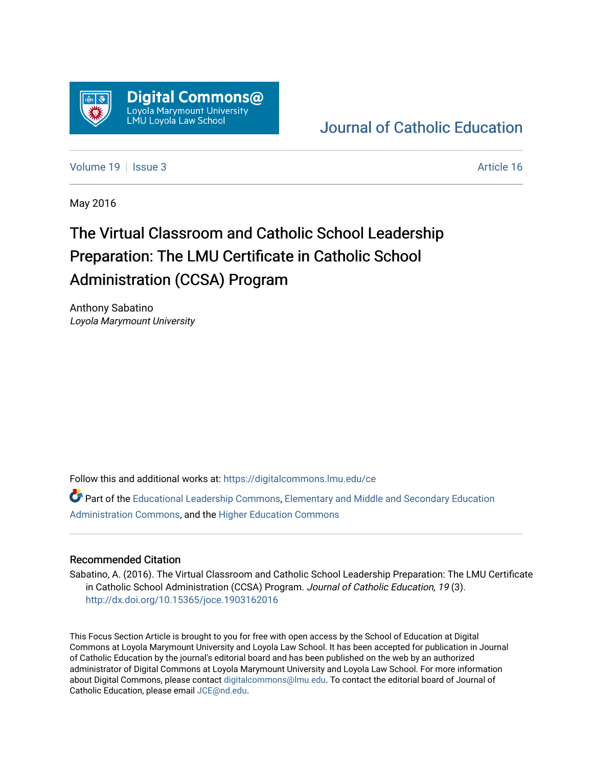

# [Journal of Catholic Education](https://digitalcommons.lmu.edu/ce)

[Volume 19](https://digitalcommons.lmu.edu/ce/vol19) | [Issue 3](https://digitalcommons.lmu.edu/ce/vol19/iss3) Article 16

May 2016

# The Virtual Classroom and Catholic School Leadership Preparation: The LMU Certificate in Catholic School Administration (CCSA) Program

Anthony Sabatino Loyola Marymount University

Follow this and additional works at: [https://digitalcommons.lmu.edu/ce](https://digitalcommons.lmu.edu/ce?utm_source=digitalcommons.lmu.edu%2Fce%2Fvol19%2Fiss3%2F16&utm_medium=PDF&utm_campaign=PDFCoverPages)

Part of the [Educational Leadership Commons,](https://network.bepress.com/hgg/discipline/1230?utm_source=digitalcommons.lmu.edu%2Fce%2Fvol19%2Fiss3%2F16&utm_medium=PDF&utm_campaign=PDFCoverPages) [Elementary and Middle and Secondary Education](https://network.bepress.com/hgg/discipline/790?utm_source=digitalcommons.lmu.edu%2Fce%2Fvol19%2Fiss3%2F16&utm_medium=PDF&utm_campaign=PDFCoverPages)  [Administration Commons,](https://network.bepress.com/hgg/discipline/790?utm_source=digitalcommons.lmu.edu%2Fce%2Fvol19%2Fiss3%2F16&utm_medium=PDF&utm_campaign=PDFCoverPages) and the [Higher Education Commons](https://network.bepress.com/hgg/discipline/1245?utm_source=digitalcommons.lmu.edu%2Fce%2Fvol19%2Fiss3%2F16&utm_medium=PDF&utm_campaign=PDFCoverPages) 

## Recommended Citation

Sabatino, A. (2016). The Virtual Classroom and Catholic School Leadership Preparation: The LMU Certificate in Catholic School Administration (CCSA) Program. Journal of Catholic Education, 19 (3). <http://dx.doi.org/10.15365/joce.1903162016>

This Focus Section Article is brought to you for free with open access by the School of Education at Digital Commons at Loyola Marymount University and Loyola Law School. It has been accepted for publication in Journal of Catholic Education by the journal's editorial board and has been published on the web by an authorized administrator of Digital Commons at Loyola Marymount University and Loyola Law School. For more information about Digital Commons, please contact [digitalcommons@lmu.edu](mailto:digitalcommons@lmu.edu). To contact the editorial board of Journal of Catholic Education, please email [JCE@nd.edu.](mailto:JCE@nd.edu)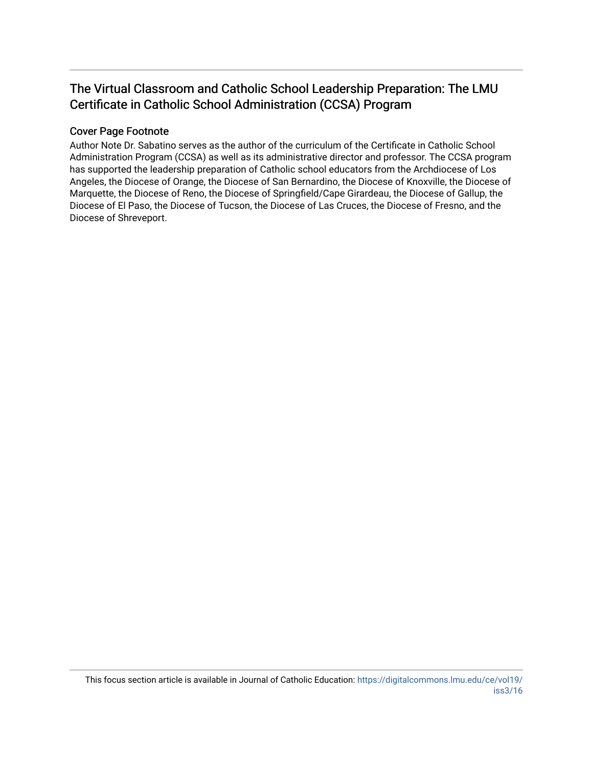# The Virtual Classroom and Catholic School Leadership Preparation: The LMU Certificate in Catholic School Administration (CCSA) Program

# Cover Page Footnote

Author Note Dr. Sabatino serves as the author of the curriculum of the Certificate in Catholic School Administration Program (CCSA) as well as its administrative director and professor. The CCSA program has supported the leadership preparation of Catholic school educators from the Archdiocese of Los Angeles, the Diocese of Orange, the Diocese of San Bernardino, the Diocese of Knoxville, the Diocese of Marquette, the Diocese of Reno, the Diocese of Springfield/Cape Girardeau, the Diocese of Gallup, the Diocese of El Paso, the Diocese of Tucson, the Diocese of Las Cruces, the Diocese of Fresno, and the Diocese of Shreveport.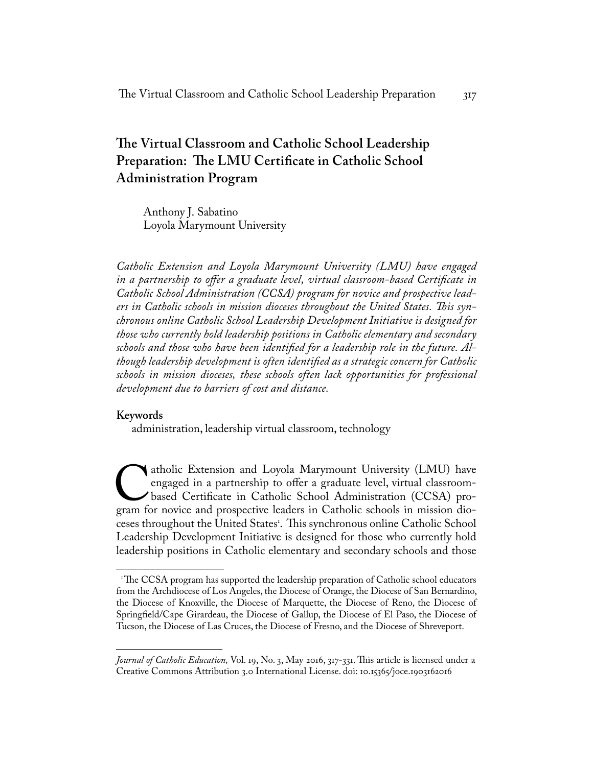# **The Virtual Classroom and Catholic School Leadership Preparation: The LMU Certificate in Catholic School Administration Program**

Anthony J. Sabatino Loyola Marymount University

*Catholic Extension and Loyola Marymount University (LMU) have engaged in a partnership to offer a graduate level, virtual classroom-based Certificate in Catholic School Administration (CCSA) program for novice and prospective leaders in Catholic schools in mission dioceses throughout the United States. This synchronous online Catholic School Leadership Development Initiative is designed for those who currently hold leadership positions in Catholic elementary and secondary schools and those who have been identified for a leadership role in the future. Although leadership development is often identified as a strategic concern for Catholic schools in mission dioceses, these schools often lack opportunities for professional development due to barriers of cost and distance.*

## **Keywords**

administration, leadership virtual classroom, technology

atholic Extension and Loyola Marymount University (LMU) have engaged in a partnership to offer a graduate level, virtual classroom-<br>based Certificate in Catholic School Administration (CCSA) pro-<br>gram for novice and prospe engaged in a partnership to offer a graduate level, virtual classroombased Certificate in Catholic School Administration (CCSA) proceses throughout the United States1 . This synchronous online Catholic School Leadership Development Initiative is designed for those who currently hold leadership positions in Catholic elementary and secondary schools and those

<sup>&</sup>lt;sup>1</sup>The CCSA program has supported the leadership preparation of Catholic school educators from the Archdiocese of Los Angeles, the Diocese of Orange, the Diocese of San Bernardino, the Diocese of Knoxville, the Diocese of Marquette, the Diocese of Reno, the Diocese of Springfield/Cape Girardeau, the Diocese of Gallup, the Diocese of El Paso, the Diocese of Tucson, the Diocese of Las Cruces, the Diocese of Fresno, and the Diocese of Shreveport.

*Journal of Catholic Education,* Vol. 19, No. 3, May 2016, 317-331. This article is licensed under a Creative Commons Attribution 3.0 International License. doi: 10.15365/joce.1903162016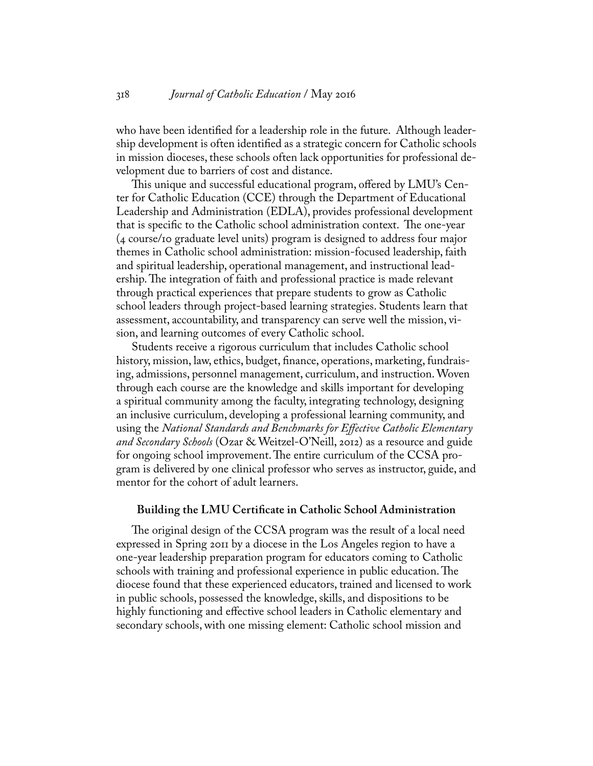who have been identified for a leadership role in the future. Although leadership development is often identified as a strategic concern for Catholic schools in mission dioceses, these schools often lack opportunities for professional development due to barriers of cost and distance.

This unique and successful educational program, offered by LMU's Center for Catholic Education (CCE) through the Department of Educational Leadership and Administration (EDLA), provides professional development that is specific to the Catholic school administration context. The one-year (4 course/10 graduate level units) program is designed to address four major themes in Catholic school administration: mission-focused leadership, faith and spiritual leadership, operational management, and instructional leadership. The integration of faith and professional practice is made relevant through practical experiences that prepare students to grow as Catholic school leaders through project-based learning strategies. Students learn that assessment, accountability, and transparency can serve well the mission, vision, and learning outcomes of every Catholic school.

Students receive a rigorous curriculum that includes Catholic school history, mission, law, ethics, budget, finance, operations, marketing, fundraising, admissions, personnel management, curriculum, and instruction. Woven through each course are the knowledge and skills important for developing a spiritual community among the faculty, integrating technology, designing an inclusive curriculum, developing a professional learning community, and using the *National Standards and Benchmarks for Effective Catholic Elementary and Secondary Schools* (Ozar & Weitzel-O'Neill, 2012) as a resource and guide for ongoing school improvement. The entire curriculum of the CCSA program is delivered by one clinical professor who serves as instructor, guide, and mentor for the cohort of adult learners.

### **Building the LMU Certificate in Catholic School Administration**

The original design of the CCSA program was the result of a local need expressed in Spring 2011 by a diocese in the Los Angeles region to have a one-year leadership preparation program for educators coming to Catholic schools with training and professional experience in public education. The diocese found that these experienced educators, trained and licensed to work in public schools, possessed the knowledge, skills, and dispositions to be highly functioning and effective school leaders in Catholic elementary and secondary schools, with one missing element: Catholic school mission and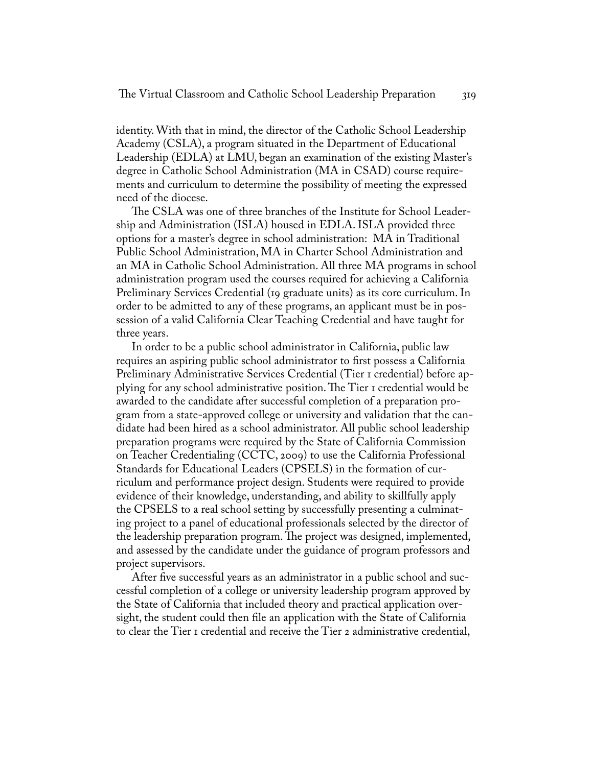identity. With that in mind, the director of the Catholic School Leadership Academy (CSLA), a program situated in the Department of Educational Leadership (EDLA) at LMU, began an examination of the existing Master's degree in Catholic School Administration (MA in CSAD) course requirements and curriculum to determine the possibility of meeting the expressed need of the diocese.

The CSLA was one of three branches of the Institute for School Leadership and Administration (ISLA) housed in EDLA. ISLA provided three options for a master's degree in school administration: MA in Traditional Public School Administration, MA in Charter School Administration and an MA in Catholic School Administration. All three MA programs in school administration program used the courses required for achieving a California Preliminary Services Credential (19 graduate units) as its core curriculum. In order to be admitted to any of these programs, an applicant must be in possession of a valid California Clear Teaching Credential and have taught for three years.

In order to be a public school administrator in California, public law requires an aspiring public school administrator to first possess a California Preliminary Administrative Services Credential (Tier 1 credential) before applying for any school administrative position. The Tier 1 credential would be awarded to the candidate after successful completion of a preparation program from a state-approved college or university and validation that the candidate had been hired as a school administrator. All public school leadership preparation programs were required by the State of California Commission on Teacher Credentialing (CCTC, 2009) to use the California Professional Standards for Educational Leaders (CPSELS) in the formation of curriculum and performance project design. Students were required to provide evidence of their knowledge, understanding, and ability to skillfully apply the CPSELS to a real school setting by successfully presenting a culminating project to a panel of educational professionals selected by the director of the leadership preparation program. The project was designed, implemented, and assessed by the candidate under the guidance of program professors and project supervisors.

After five successful years as an administrator in a public school and successful completion of a college or university leadership program approved by the State of California that included theory and practical application oversight, the student could then file an application with the State of California to clear the Tier 1 credential and receive the Tier 2 administrative credential,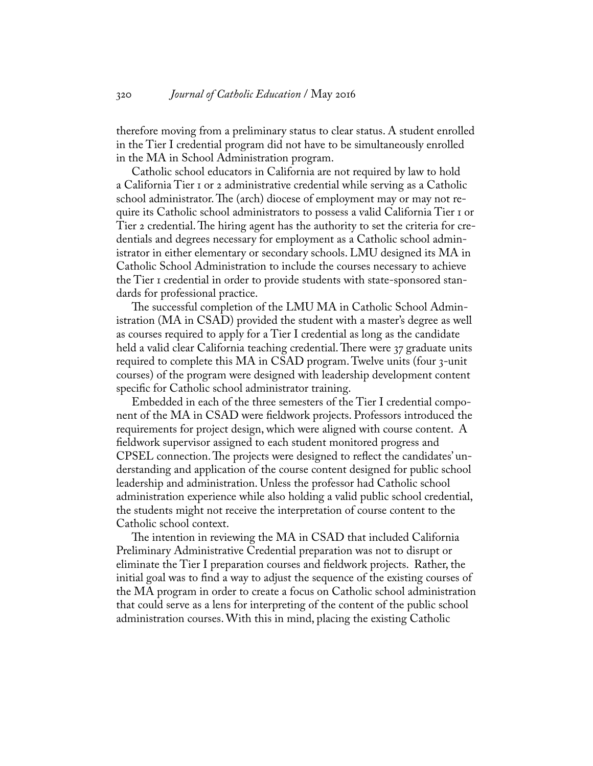therefore moving from a preliminary status to clear status. A student enrolled in the Tier I credential program did not have to be simultaneously enrolled in the MA in School Administration program.

Catholic school educators in California are not required by law to hold a California Tier 1 or 2 administrative credential while serving as a Catholic school administrator. The (arch) diocese of employment may or may not require its Catholic school administrators to possess a valid California Tier 1 or Tier 2 credential. The hiring agent has the authority to set the criteria for credentials and degrees necessary for employment as a Catholic school administrator in either elementary or secondary schools. LMU designed its MA in Catholic School Administration to include the courses necessary to achieve the Tier 1 credential in order to provide students with state-sponsored standards for professional practice.

The successful completion of the LMU MA in Catholic School Administration (MA in CSAD) provided the student with a master's degree as well as courses required to apply for a Tier I credential as long as the candidate held a valid clear California teaching credential. There were 37 graduate units required to complete this MA in CSAD program. Twelve units (four 3-unit courses) of the program were designed with leadership development content specific for Catholic school administrator training.

Embedded in each of the three semesters of the Tier I credential component of the MA in CSAD were fieldwork projects. Professors introduced the requirements for project design, which were aligned with course content. A fieldwork supervisor assigned to each student monitored progress and CPSEL connection. The projects were designed to reflect the candidates' understanding and application of the course content designed for public school leadership and administration. Unless the professor had Catholic school administration experience while also holding a valid public school credential, the students might not receive the interpretation of course content to the Catholic school context.

The intention in reviewing the MA in CSAD that included California Preliminary Administrative Credential preparation was not to disrupt or eliminate the Tier I preparation courses and fieldwork projects. Rather, the initial goal was to find a way to adjust the sequence of the existing courses of the MA program in order to create a focus on Catholic school administration that could serve as a lens for interpreting of the content of the public school administration courses. With this in mind, placing the existing Catholic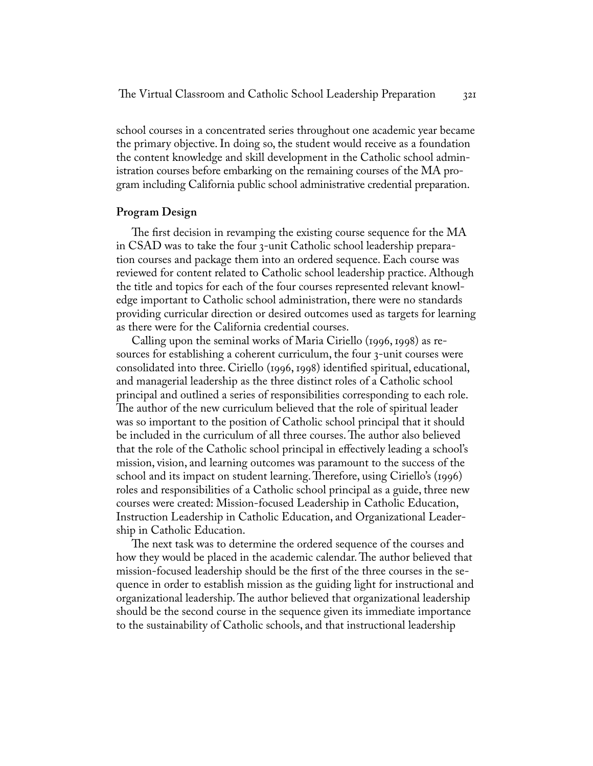school courses in a concentrated series throughout one academic year became the primary objective. In doing so, the student would receive as a foundation the content knowledge and skill development in the Catholic school administration courses before embarking on the remaining courses of the MA program including California public school administrative credential preparation.

### **Program Design**

The first decision in revamping the existing course sequence for the MA in CSAD was to take the four 3-unit Catholic school leadership preparation courses and package them into an ordered sequence. Each course was reviewed for content related to Catholic school leadership practice. Although the title and topics for each of the four courses represented relevant knowledge important to Catholic school administration, there were no standards providing curricular direction or desired outcomes used as targets for learning as there were for the California credential courses.

Calling upon the seminal works of Maria Ciriello (1996, 1998) as resources for establishing a coherent curriculum, the four 3-unit courses were consolidated into three. Ciriello (1996, 1998) identified spiritual, educational, and managerial leadership as the three distinct roles of a Catholic school principal and outlined a series of responsibilities corresponding to each role. The author of the new curriculum believed that the role of spiritual leader was so important to the position of Catholic school principal that it should be included in the curriculum of all three courses. The author also believed that the role of the Catholic school principal in effectively leading a school's mission, vision, and learning outcomes was paramount to the success of the school and its impact on student learning. Therefore, using Ciriello's (1996) roles and responsibilities of a Catholic school principal as a guide, three new courses were created: Mission-focused Leadership in Catholic Education, Instruction Leadership in Catholic Education, and Organizational Leadership in Catholic Education.

The next task was to determine the ordered sequence of the courses and how they would be placed in the academic calendar. The author believed that mission-focused leadership should be the first of the three courses in the sequence in order to establish mission as the guiding light for instructional and organizational leadership. The author believed that organizational leadership should be the second course in the sequence given its immediate importance to the sustainability of Catholic schools, and that instructional leadership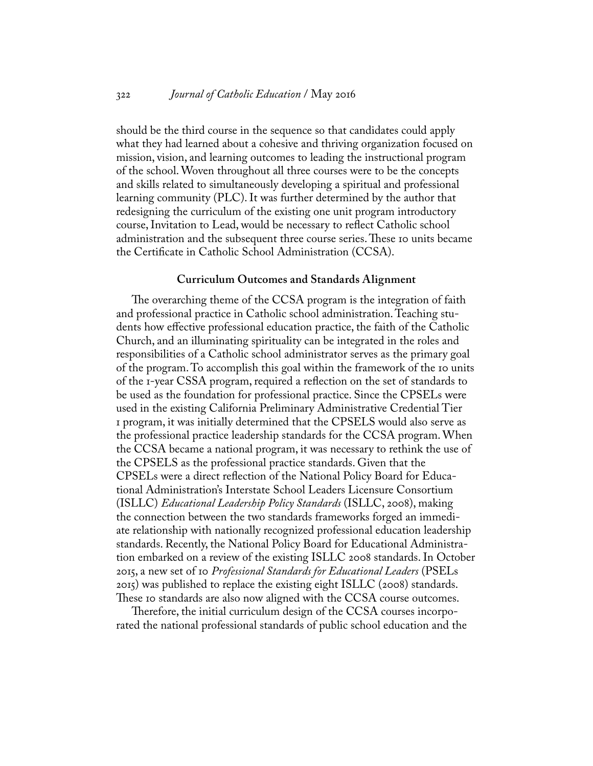#### 322 *Journal of Catholic Education* / May 2016

should be the third course in the sequence so that candidates could apply what they had learned about a cohesive and thriving organization focused on mission, vision, and learning outcomes to leading the instructional program of the school. Woven throughout all three courses were to be the concepts and skills related to simultaneously developing a spiritual and professional learning community (PLC). It was further determined by the author that redesigning the curriculum of the existing one unit program introductory course, Invitation to Lead, would be necessary to reflect Catholic school administration and the subsequent three course series. These 10 units became the Certificate in Catholic School Administration (CCSA).

#### **Curriculum Outcomes and Standards Alignment**

The overarching theme of the CCSA program is the integration of faith and professional practice in Catholic school administration. Teaching students how effective professional education practice, the faith of the Catholic Church, and an illuminating spirituality can be integrated in the roles and responsibilities of a Catholic school administrator serves as the primary goal of the program. To accomplish this goal within the framework of the 10 units of the 1-year CSSA program, required a reflection on the set of standards to be used as the foundation for professional practice. Since the CPSELs were used in the existing California Preliminary Administrative Credential Tier 1 program, it was initially determined that the CPSELS would also serve as the professional practice leadership standards for the CCSA program. When the CCSA became a national program, it was necessary to rethink the use of the CPSELS as the professional practice standards. Given that the CPSELs were a direct reflection of the National Policy Board for Educational Administration's Interstate School Leaders Licensure Consortium (ISLLC) *Educational Leadership Policy Standards* (ISLLC, 2008), making the connection between the two standards frameworks forged an immediate relationship with nationally recognized professional education leadership standards. Recently, the National Policy Board for Educational Administration embarked on a review of the existing ISLLC 2008 standards. In October 2015, a new set of 10 *Professional Standards for Educational Leaders* (PSELs 2015) was published to replace the existing eight ISLLC (2008) standards. These io standards are also now aligned with the CCSA course outcomes.

Therefore, the initial curriculum design of the CCSA courses incorporated the national professional standards of public school education and the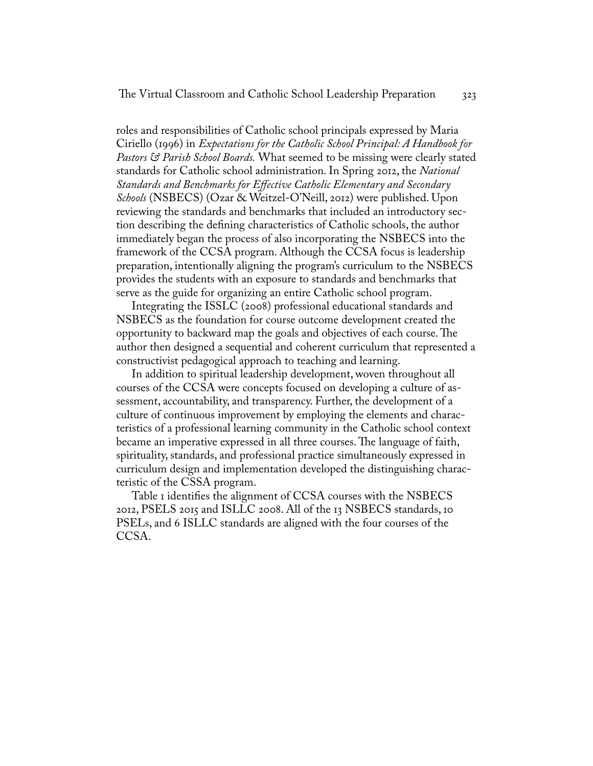roles and responsibilities of Catholic school principals expressed by Maria Ciriello (1996) in *Expectations for the Catholic School Principal: A Handbook for Pastors & Parish School Boards.* What seemed to be missing were clearly stated standards for Catholic school administration. In Spring 2012, the *National Standards and Benchmarks for Effective Catholic Elementary and Secondary Schools* (NSBECS) (Ozar & Weitzel-O'Neill, 2012) were published. Upon reviewing the standards and benchmarks that included an introductory section describing the defining characteristics of Catholic schools, the author immediately began the process of also incorporating the NSBECS into the framework of the CCSA program. Although the CCSA focus is leadership preparation, intentionally aligning the program's curriculum to the NSBECS provides the students with an exposure to standards and benchmarks that serve as the guide for organizing an entire Catholic school program.

Integrating the ISSLC (2008) professional educational standards and NSBECS as the foundation for course outcome development created the opportunity to backward map the goals and objectives of each course. The author then designed a sequential and coherent curriculum that represented a constructivist pedagogical approach to teaching and learning.

In addition to spiritual leadership development, woven throughout all courses of the CCSA were concepts focused on developing a culture of assessment, accountability, and transparency. Further, the development of a culture of continuous improvement by employing the elements and characteristics of a professional learning community in the Catholic school context became an imperative expressed in all three courses. The language of faith, spirituality, standards, and professional practice simultaneously expressed in curriculum design and implementation developed the distinguishing characteristic of the CSSA program.

Table I identifies the alignment of CCSA courses with the NSBECS 2012, PSELS 2015 and ISLLC 2008. All of the 13 NSBECS standards, 10 PSELs, and 6 ISLLC standards are aligned with the four courses of the CCSA.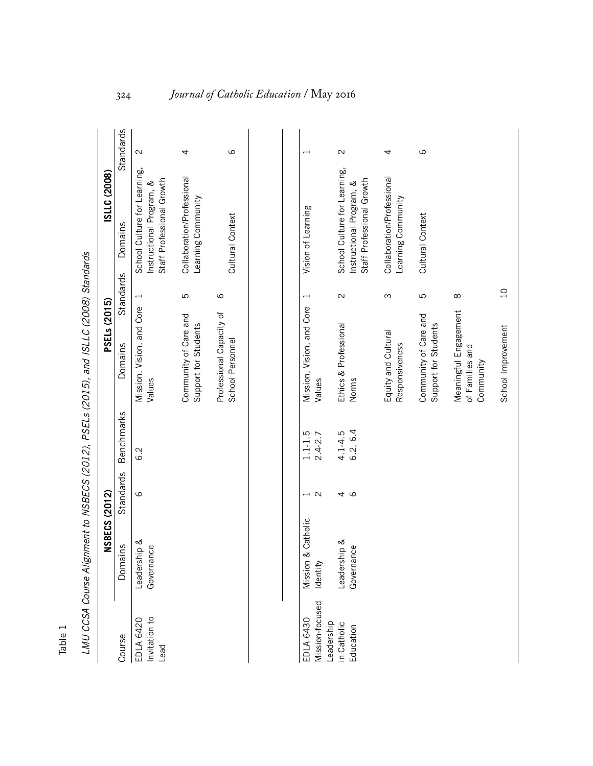|                                                           | <b>NSBECS (2012)</b>       |                   |                         | LMU CCSA Course Alignment to NSBECS (2012), PSELs (2015), and ISLLC (2008) Standards<br><b>PSELs (2015)</b> |                | ISLLC (2008)                                                                          |                   |
|-----------------------------------------------------------|----------------------------|-------------------|-------------------------|-------------------------------------------------------------------------------------------------------------|----------------|---------------------------------------------------------------------------------------|-------------------|
| Course                                                    | Domains                    | Standards         | <b>Benchmarks</b>       | Domains                                                                                                     | Standards      | Domains                                                                               | Standards         |
| nvitation to<br>EDLA 6420<br>Lead                         | Leadership &<br>Governance | 6                 | 6.2                     | Mission, Vision, and Core<br>Values                                                                         | $\overline{ }$ | School Culture for Learning,<br>Staff Professional Growth<br>Instructional Program, & | $\mathbf{\Omega}$ |
|                                                           |                            |                   |                         | Community of Care and<br>Support for Students                                                               | 5              | Collaboration/Professional<br>Learning Community                                      | 4                 |
|                                                           |                            |                   |                         | Professional Capacity of<br>School Personnel                                                                | $\circ$        | Cultural Context                                                                      | ပ                 |
|                                                           |                            |                   |                         |                                                                                                             |                |                                                                                       |                   |
| EDLA 6430                                                 | & Catholic<br>Mission      |                   | $1.1 - 1.5$             | Mission, Vision, and Core                                                                                   |                | Vision of Learning                                                                    |                   |
|                                                           | Identity                   | $\mathbf{\Omega}$ | $2.4 - 2.7$             | Values                                                                                                      |                |                                                                                       |                   |
| Mission-focused<br>Leadership<br>in Catholic<br>Education | Leadership &<br>Governance | 9<br>4            | 6.2, 6.4<br>$4.1 - 4.5$ | Ethics & Professional<br>Norms                                                                              | $\mathcal{L}$  | School Culture for Learning,<br>Staff Professional Growth<br>Instructional Program, & | $\mathbf{\Omega}$ |
|                                                           |                            |                   |                         | Equity and Cultural<br>Responsiveness                                                                       | S              | Collaboration/Professional<br>Learning Community                                      | 4                 |

Community of Care and Support for Students

Community of Care and<br>Support for Students

ഗ

Cultural Context

Cultural Context

6

Meaningful Engagement

8

of Families and Community

Meaningful Engagement<br>of Families and<br>Community

School Improvement

School Improvement

10

| ׅ֚֡֡֡֡֡֝                                                      |
|---------------------------------------------------------------|
|                                                               |
| S                                                             |
| ֚֚֡֬֝<br>)<br>1<br>$\overline{a}$<br>Į                        |
| ׇ֧֛֧֦֧֦֧֦֧֦֧<br>֧֧֧֚֚֚֚֚֚֚֚֚֚֚֚֚֚֚֚֚֚֚֚֚֚֚֚֚֚֚֝               |
| ֺ֝֬֘<br>j<br>i<br>)                                           |
| こりゃくり こうりつ こうゃうりく りりょうりこ<br>)<br>)<br>)<br>)<br>$\frac{1}{2}$ |
| ١                                                             |
| į                                                             |
| $\frac{1}{2}$                                                 |

Table 1

# 324 *Journal of Catholic Education* / May 2016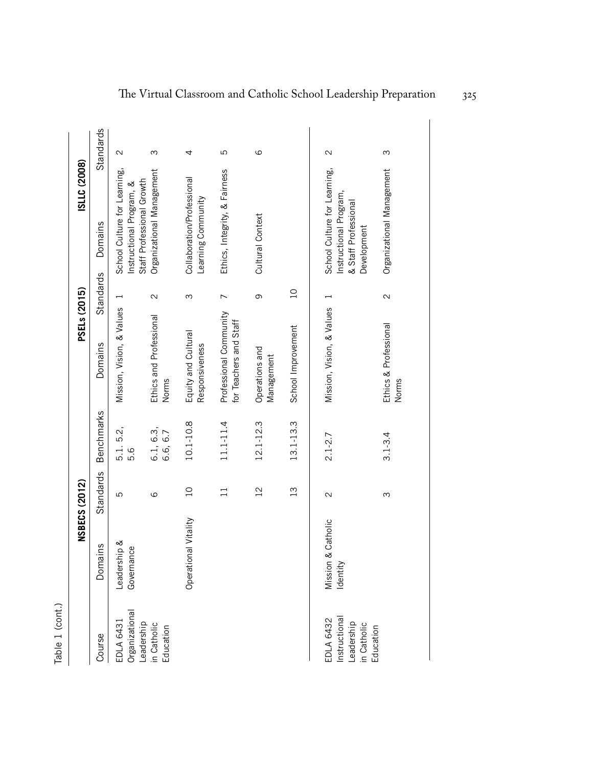| Ξ            |
|--------------|
|              |
|              |
| r            |
|              |
|              |
|              |
|              |
|              |
| ׇ֚֘֝֕֜֡<br>C |
|              |
|              |
|              |

|                                                                      |                                   | <b>NSBECS (2012)</b> |                       | <b>PSELs (2015)</b>                              |                   | ISLLC (2008)                                                                                  |                   |
|----------------------------------------------------------------------|-----------------------------------|----------------------|-----------------------|--------------------------------------------------|-------------------|-----------------------------------------------------------------------------------------------|-------------------|
| Course                                                               | Domains                           | Standards            | <b>Benchmarks</b>     | Domains                                          | Standards         | Domains                                                                                       | Standards         |
| EDLA 6431<br>Organizational                                          | Leadership &<br>eo<br>Governan    | 5                    | 5.1.5.2,<br>9.G       | Mission, Vision, & Values                        | $\overline{ }$    | School Culture for Learning,<br>Staff Professional Growth<br>Instructional Program, &         | $\mathbf{\Omega}$ |
| Leadership<br>in Catholic<br>Education                               |                                   | $\circ$              | 6.1, 6.3,<br>6.6, 6.7 | Ethics and Professional<br>Norms                 | $\mathbf{\Omega}$ | Organizational Management                                                                     | ω                 |
|                                                                      | al Vitality<br>Operation          | $\overline{C}$       | 10.1-10.8             | Equity and Cultural<br>Responsiveness            | ω                 | Collaboration/Professional<br>Learning Community                                              | 4                 |
|                                                                      |                                   |                      | $11.1 - 11.4$         | Professional Community<br>for Teachers and Staff | $\overline{ }$    | Ethics, Integrity, & Fairness                                                                 | 5                 |
|                                                                      |                                   | 12                   | $12.1 - 12.3$         | Operations and<br>Management                     | $\sigma$          | Cultural Context                                                                              | 6                 |
|                                                                      |                                   | 13                   | $13.1 - 13.3$         | School Improvement                               | $\overline{C}$    |                                                                                               |                   |
| EDLA 6432<br>Instructional<br>Leadership<br>in Catholic<br>Education | Catholic<br>Mission &<br>Identity | $\mathbf{\Omega}$    | $2.1 - 2.7$           | Mission, Vision, & Values                        | $\overline{ }$    | School Culture for Learning,<br>Instructional Program,<br>& Staff Professional<br>Development | $\mathbf{\Omega}$ |
|                                                                      |                                   | S                    | $3.1 - 3.4$           | Ethics & Professional<br>Norms                   | $\mathbf{\sim}$   | Organizational Management                                                                     | ω                 |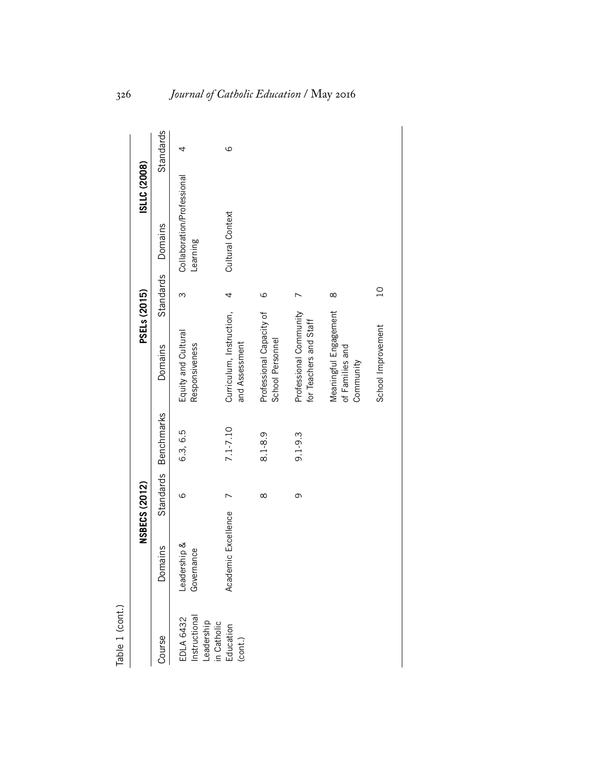|                                                                |                            | <b>NSBECS (2012)</b> |                      | PSELs (2015)                                          |                | ISLLC (2008)                           |           |
|----------------------------------------------------------------|----------------------------|----------------------|----------------------|-------------------------------------------------------|----------------|----------------------------------------|-----------|
| Course                                                         | Domains                    |                      | Standards Benchmarks | Domains                                               | Standards      | Domains                                | Standards |
| Instructional<br><b>EDLA 6432</b><br>Leadership<br>in Catholic | Leadership &<br>Governance | $\circ$              | 6.3, 6.5             | Equity and Cultural<br>Responsiveness                 | ო              | Collaboration/Professional<br>Learning | 4         |
| Education<br>(cont.)                                           | Academic Excellence        |                      | 7.1-7.10             | Curriculum, Instruction,<br>and Assessment            | 4              | Cultural Context                       | 9         |
|                                                                |                            | $\infty$             | 8.1-8.9              | Professional Capacity of<br>School Personnel          | $\circ$        |                                        |           |
|                                                                |                            | თ                    | $9.1 - 9.3$          | Professional Community<br>for Teachers and Staff      |                |                                        |           |
|                                                                |                            |                      |                      | Meaningful Engagement<br>of Families and<br>Community | $\infty$       |                                        |           |
|                                                                |                            |                      |                      | School Improvement                                    | $\overline{C}$ |                                        |           |

Table 1 (cont.) Table 1 (cont.)

# 326 *Journal of Catholic Education* / May 2016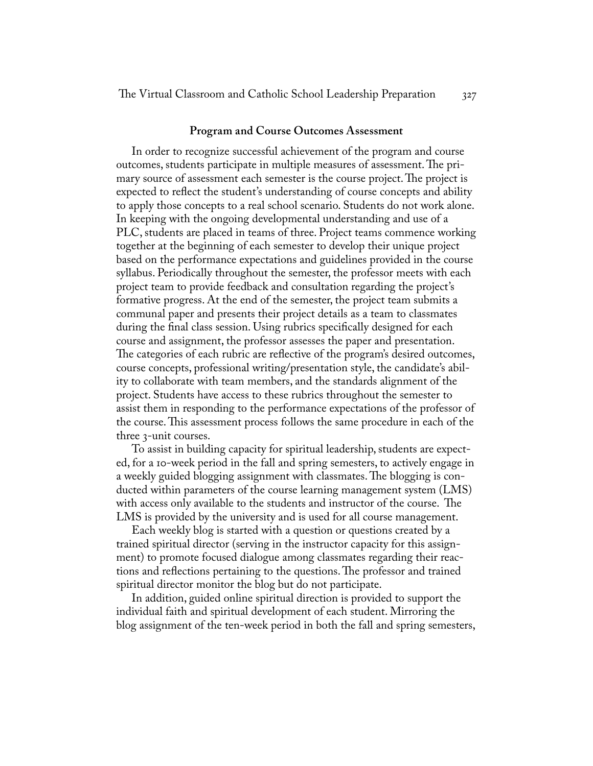#### **Program and Course Outcomes Assessment**

In order to recognize successful achievement of the program and course outcomes, students participate in multiple measures of assessment. The primary source of assessment each semester is the course project. The project is expected to reflect the student's understanding of course concepts and ability to apply those concepts to a real school scenario. Students do not work alone. In keeping with the ongoing developmental understanding and use of a PLC, students are placed in teams of three. Project teams commence working together at the beginning of each semester to develop their unique project based on the performance expectations and guidelines provided in the course syllabus. Periodically throughout the semester, the professor meets with each project team to provide feedback and consultation regarding the project's formative progress. At the end of the semester, the project team submits a communal paper and presents their project details as a team to classmates during the final class session. Using rubrics specifically designed for each course and assignment, the professor assesses the paper and presentation. The categories of each rubric are reflective of the program's desired outcomes, course concepts, professional writing/presentation style, the candidate's ability to collaborate with team members, and the standards alignment of the project. Students have access to these rubrics throughout the semester to assist them in responding to the performance expectations of the professor of the course. This assessment process follows the same procedure in each of the three 3-unit courses.

To assist in building capacity for spiritual leadership, students are expected, for a 10-week period in the fall and spring semesters, to actively engage in a weekly guided blogging assignment with classmates. The blogging is conducted within parameters of the course learning management system (LMS) with access only available to the students and instructor of the course. The LMS is provided by the university and is used for all course management.

Each weekly blog is started with a question or questions created by a trained spiritual director (serving in the instructor capacity for this assignment) to promote focused dialogue among classmates regarding their reactions and reflections pertaining to the questions. The professor and trained spiritual director monitor the blog but do not participate.

In addition, guided online spiritual direction is provided to support the individual faith and spiritual development of each student. Mirroring the blog assignment of the ten-week period in both the fall and spring semesters,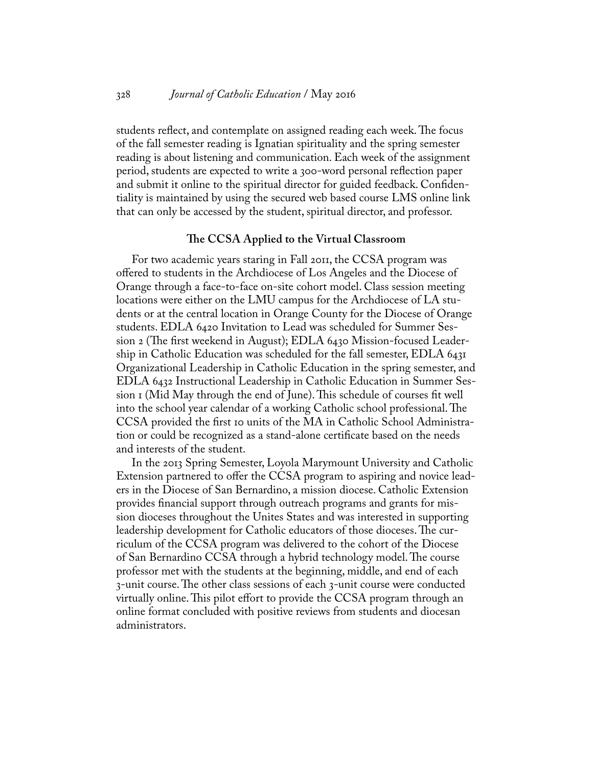students reflect, and contemplate on assigned reading each week. The focus of the fall semester reading is Ignatian spirituality and the spring semester reading is about listening and communication. Each week of the assignment period, students are expected to write a 300-word personal reflection paper and submit it online to the spiritual director for guided feedback. Confidentiality is maintained by using the secured web based course LMS online link that can only be accessed by the student, spiritual director, and professor.

### **The CCSA Applied to the Virtual Classroom**

For two academic years staring in Fall 2011, the CCSA program was offered to students in the Archdiocese of Los Angeles and the Diocese of Orange through a face-to-face on-site cohort model. Class session meeting locations were either on the LMU campus for the Archdiocese of LA students or at the central location in Orange County for the Diocese of Orange students. EDLA 6420 Invitation to Lead was scheduled for Summer Session 2 (The first weekend in August); EDLA 6430 Mission-focused Leadership in Catholic Education was scheduled for the fall semester, EDLA 6431 Organizational Leadership in Catholic Education in the spring semester, and EDLA 6432 Instructional Leadership in Catholic Education in Summer Session 1 (Mid May through the end of June). This schedule of courses fit well into the school year calendar of a working Catholic school professional. The CCSA provided the first 10 units of the MA in Catholic School Administration or could be recognized as a stand-alone certificate based on the needs and interests of the student.

In the 2013 Spring Semester, Loyola Marymount University and Catholic Extension partnered to offer the CCSA program to aspiring and novice leaders in the Diocese of San Bernardino, a mission diocese. Catholic Extension provides financial support through outreach programs and grants for mission dioceses throughout the Unites States and was interested in supporting leadership development for Catholic educators of those dioceses. The curriculum of the CCSA program was delivered to the cohort of the Diocese of San Bernardino CCSA through a hybrid technology model. The course professor met with the students at the beginning, middle, and end of each 3-unit course. The other class sessions of each 3-unit course were conducted virtually online. This pilot effort to provide the CCSA program through an online format concluded with positive reviews from students and diocesan administrators.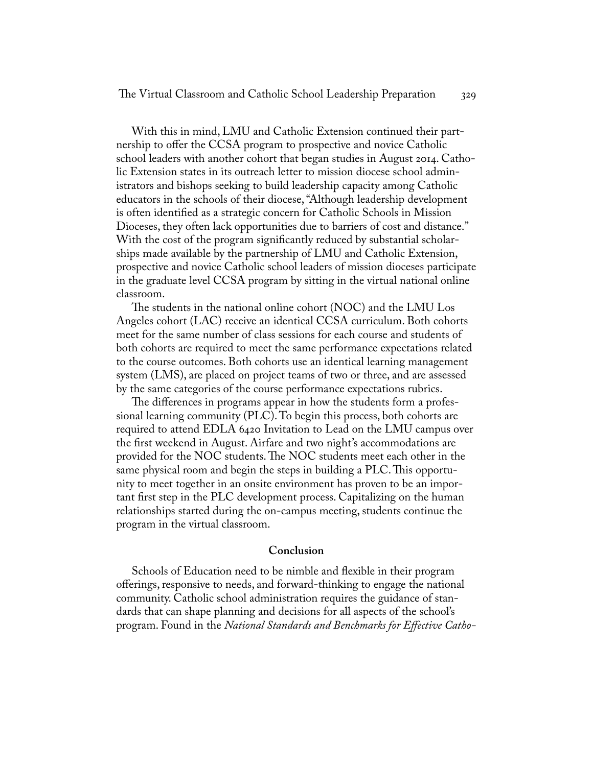With this in mind, LMU and Catholic Extension continued their partnership to offer the CCSA program to prospective and novice Catholic school leaders with another cohort that began studies in August 2014. Catholic Extension states in its outreach letter to mission diocese school administrators and bishops seeking to build leadership capacity among Catholic educators in the schools of their diocese, "Although leadership development is often identified as a strategic concern for Catholic Schools in Mission Dioceses, they often lack opportunities due to barriers of cost and distance." With the cost of the program significantly reduced by substantial scholarships made available by the partnership of LMU and Catholic Extension, prospective and novice Catholic school leaders of mission dioceses participate in the graduate level CCSA program by sitting in the virtual national online classroom.

The students in the national online cohort (NOC) and the LMU Los Angeles cohort (LAC) receive an identical CCSA curriculum. Both cohorts meet for the same number of class sessions for each course and students of both cohorts are required to meet the same performance expectations related to the course outcomes. Both cohorts use an identical learning management system (LMS), are placed on project teams of two or three, and are assessed by the same categories of the course performance expectations rubrics.

The differences in programs appear in how the students form a professional learning community (PLC). To begin this process, both cohorts are required to attend EDLA 6420 Invitation to Lead on the LMU campus over the first weekend in August. Airfare and two night's accommodations are provided for the NOC students. The NOC students meet each other in the same physical room and begin the steps in building a PLC. This opportunity to meet together in an onsite environment has proven to be an important first step in the PLC development process. Capitalizing on the human relationships started during the on-campus meeting, students continue the program in the virtual classroom.

#### **Conclusion**

Schools of Education need to be nimble and flexible in their program offerings, responsive to needs, and forward-thinking to engage the national community. Catholic school administration requires the guidance of standards that can shape planning and decisions for all aspects of the school's program. Found in the *National Standards and Benchmarks for Effective Catho-*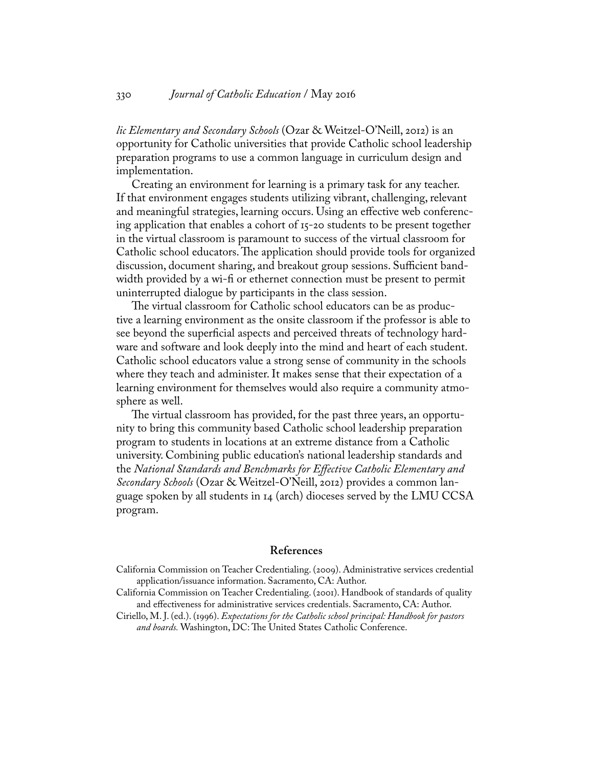### 330 *Journal of Catholic Education* / May 2016

*lic Elementary and Secondary Schools* (Ozar & Weitzel-O'Neill, 2012) is an opportunity for Catholic universities that provide Catholic school leadership preparation programs to use a common language in curriculum design and implementation.

Creating an environment for learning is a primary task for any teacher. If that environment engages students utilizing vibrant, challenging, relevant and meaningful strategies, learning occurs. Using an effective web conferencing application that enables a cohort of 15-20 students to be present together in the virtual classroom is paramount to success of the virtual classroom for Catholic school educators. The application should provide tools for organized discussion, document sharing, and breakout group sessions. Sufficient bandwidth provided by a wi-fi or ethernet connection must be present to permit uninterrupted dialogue by participants in the class session.

The virtual classroom for Catholic school educators can be as productive a learning environment as the onsite classroom if the professor is able to see beyond the superficial aspects and perceived threats of technology hardware and software and look deeply into the mind and heart of each student. Catholic school educators value a strong sense of community in the schools where they teach and administer. It makes sense that their expectation of a learning environment for themselves would also require a community atmosphere as well.

The virtual classroom has provided, for the past three years, an opportunity to bring this community based Catholic school leadership preparation program to students in locations at an extreme distance from a Catholic university. Combining public education's national leadership standards and the *National Standards and Benchmarks for Effective Catholic Elementary and Secondary Schools* (Ozar & Weitzel-O'Neill, 2012) provides a common language spoken by all students in 14 (arch) dioceses served by the LMU CCSA program.

#### **References**

California Commission on Teacher Credentialing. (2009). Administrative services credential application/issuance information. Sacramento, CA: Author.

California Commission on Teacher Credentialing. (2001). Handbook of standards of quality and effectiveness for administrative services credentials. Sacramento, CA: Author.

Ciriello, M. J. (ed.). (1996). *Expectations for the Catholic school principal: Handbook for pastors and boards.* Washington, DC: The United States Catholic Conference.